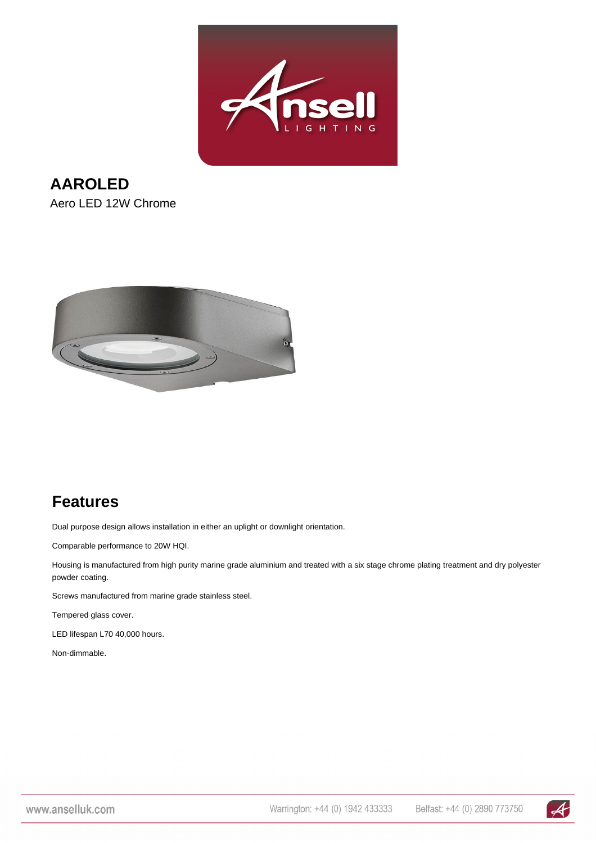

**AAROLED** Aero LED 12W Chrome



## **Features**

Dual purpose design allows installation in either an uplight or downlight orientation.

Comparable performance to 20W HQI.

Housing is manufactured from high purity marine grade aluminium and treated with a six stage chrome plating treatment and dry polyester powder coating.

Screws manufactured from marine grade stainless steel.

Tempered glass cover.

LED lifespan L70 40,000 hours.

Non-dimmable.

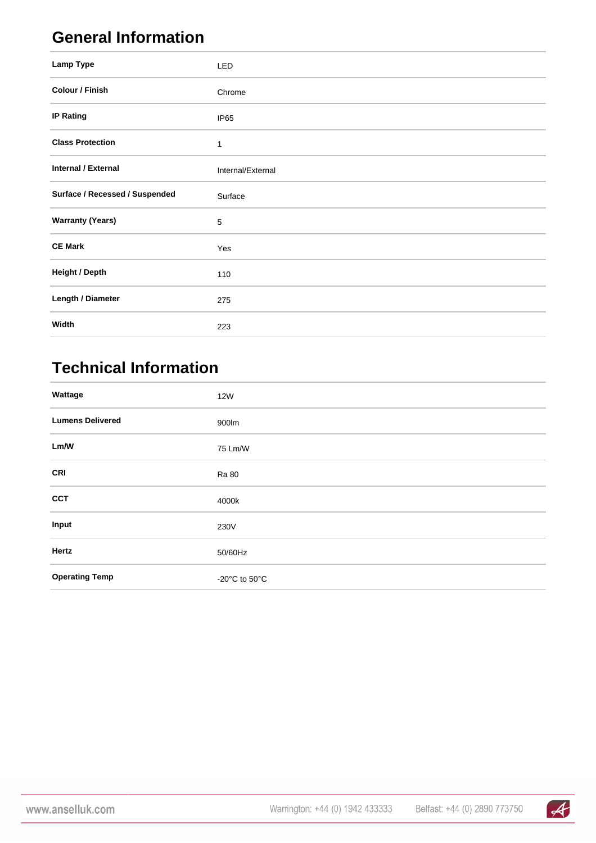## **General Information**

| Lamp Type                      | <b>LED</b>        |
|--------------------------------|-------------------|
| Colour / Finish                | Chrome            |
| <b>IP Rating</b>               | IP <sub>65</sub>  |
| <b>Class Protection</b>        | 1                 |
| <b>Internal / External</b>     | Internal/External |
| Surface / Recessed / Suspended | Surface           |
| <b>Warranty (Years)</b>        | 5                 |
| <b>CE Mark</b>                 | Yes               |
| <b>Height / Depth</b>          | 110               |
| Length / Diameter              | 275               |
| Width                          | 223               |

## **Technical Information**

| Wattage                 | <b>12W</b>                          |
|-------------------------|-------------------------------------|
| <b>Lumens Delivered</b> | 900lm                               |
| Lm/W                    | 75 Lm/W                             |
| <b>CRI</b>              | Ra 80                               |
| <b>CCT</b>              | 4000k                               |
| Input                   | 230V                                |
| Hertz                   | 50/60Hz                             |
| <b>Operating Temp</b>   | -20 $^{\circ}$ C to 50 $^{\circ}$ C |

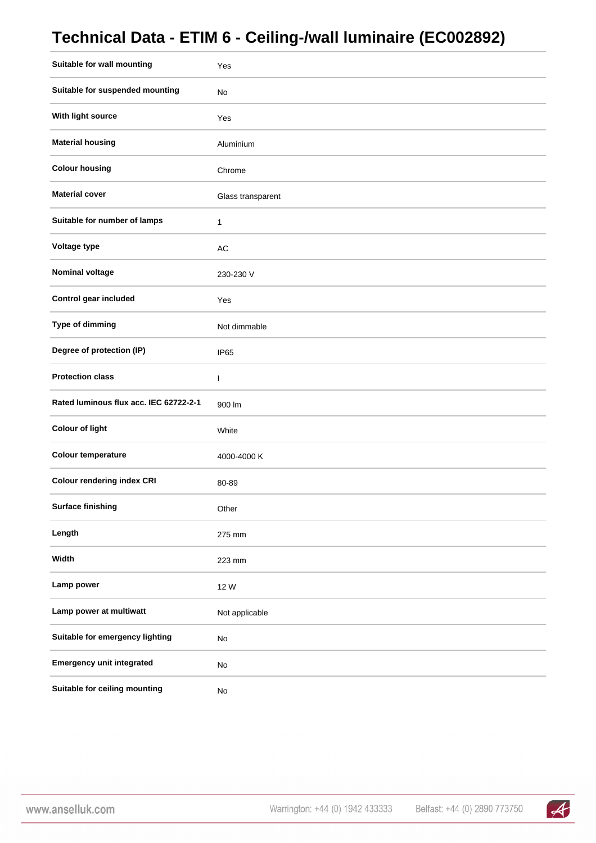## **Technical Data - ETIM 6 - Ceiling-/wall luminaire (EC002892)**

| Suitable for wall mounting             | Yes               |
|----------------------------------------|-------------------|
| Suitable for suspended mounting        | No                |
| With light source                      | Yes               |
| <b>Material housing</b>                | Aluminium         |
| <b>Colour housing</b>                  | Chrome            |
| <b>Material cover</b>                  | Glass transparent |
| Suitable for number of lamps           | $\mathbf{1}$      |
| Voltage type                           | AC                |
| <b>Nominal voltage</b>                 | 230-230 V         |
| Control gear included                  | Yes               |
| Type of dimming                        | Not dimmable      |
| Degree of protection (IP)              | IP65              |
| <b>Protection class</b>                | $\mathsf{I}$      |
| Rated luminous flux acc. IEC 62722-2-1 | 900 lm            |
| <b>Colour of light</b>                 | White             |
| <b>Colour temperature</b>              | 4000-4000 K       |
| <b>Colour rendering index CRI</b>      | 80-89             |
| <b>Surface finishing</b>               | Other             |
| Length                                 | 275 mm            |
| Width                                  | 223 mm            |
| Lamp power                             | 12 W              |
| Lamp power at multiwatt                | Not applicable    |
| Suitable for emergency lighting        | No                |
| <b>Emergency unit integrated</b>       | No                |
| Suitable for ceiling mounting          | $\mathsf{No}$     |